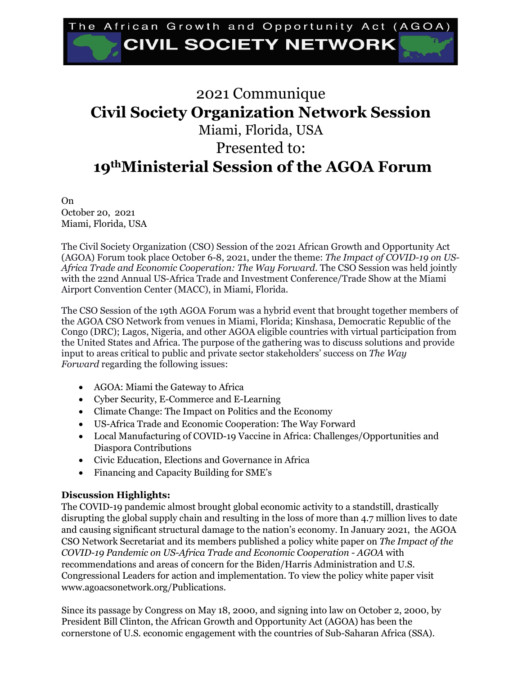## he African Growth and Opportunity Act (AGOA) **CIVIL SOCIETY NETWORK**

## 2021 Communique **Civil Society Organization Network Session** Miami, Florida, USA Presented to: **19thMinisterial Session of the AGOA Forum**

On October 20, 2021 Miami, Florida, USA

The Civil Society Organization (CSO) Session of the 2021 African Growth and Opportunity Act (AGOA) Forum took place October 6-8, 2021, under the theme: *The Impact of COVID-19 on US-Africa Trade and Economic Cooperation: The Way Forward*. The CSO Session was held jointly with the 22nd Annual US-Africa Trade and Investment Conference/Trade Show at the Miami Airport Convention Center (MACC), in Miami, Florida.

The CSO Session of the 19th AGOA Forum was a hybrid event that brought together members of the AGOA CSO Network from venues in Miami, Florida; Kinshasa, Democratic Republic of the Congo (DRC); Lagos, Nigeria, and other AGOA eligible countries with virtual participation from the United States and Africa. The purpose of the gathering was to discuss solutions and provide input to areas critical to public and private sector stakeholders' success on *The Way Forward* regarding the following issues:

- AGOA: Miami the Gateway to Africa
- Cyber Security, E-Commerce and E-Learning
- Climate Change: The Impact on Politics and the Economy
- US-Africa Trade and Economic Cooperation: The Way Forward
- Local Manufacturing of COVID-19 Vaccine in Africa: Challenges/Opportunities and Diaspora Contributions
- Civic Education, Elections and Governance in Africa
- Financing and Capacity Building for SME's

## **Discussion Highlights:**

The COVID-19 pandemic almost brought global economic activity to a standstill, drastically disrupting the global supply chain and resulting in the loss of more than 4.7 million lives to date and causing significant structural damage to the nation's economy. In January 2021, the AGOA CSO Network Secretariat and its members published a policy white paper on *The Impact of the COVID-19 Pandemic on US-Africa Trade and Economic Cooperation - AGOA* with recommendations and areas of concern for the Biden/Harris Administration and U.S. Congressional Leaders for action and implementation. To view the policy white paper visit www.agoacsonetwork.org/Publications.

Since its passage by Congress on May 18, 2000, and signing into law on October 2, 2000, by President Bill Clinton, the African Growth and Opportunity Act (AGOA) has been the cornerstone of U.S. economic engagement with the countries of Sub-Saharan Africa (SSA).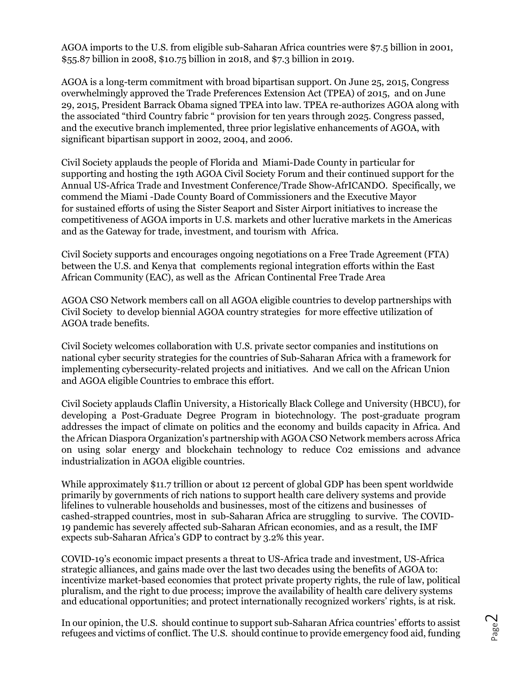AGOA imports to the U.S. from eligible sub-Saharan Africa countries were \$7.5 billion in 2001, \$55.87 billion in 2008, \$10.75 billion in 2018, and \$7.3 billion in 2019.

AGOA is a long-term commitment with broad bipartisan support. On June 25, 2015, Congress overwhelmingly approved the Trade Preferences Extension Act (TPEA) of 2015, and on June 29, 2015, President Barrack Obama signed TPEA into law. TPEA re-authorizes AGOA along with the associated "third Country fabric " provision for ten years through 2025. Congress passed, and the executive branch implemented, three prior legislative enhancements of AGOA, with significant bipartisan support in 2002, 2004, and 2006.

Civil Society applauds the people of Florida and Miami-Dade County in particular for supporting and hosting the 19th AGOA Civil Society Forum and their continued support for the Annual US-Africa Trade and Investment Conference/Trade Show-AfrICANDO. Specifically, we commend the Miami -Dade County Board of Commissioners and the Executive Mayor for sustained efforts of using the Sister Seaport and Sister Airport initiatives to increase the competitiveness of AGOA imports in U.S. markets and other lucrative markets in the Americas and as the Gateway for trade, investment, and tourism with Africa.

Civil Society supports and encourages ongoing negotiations on a Free Trade Agreement (FTA) between the U.S. and Kenya that complements regional integration efforts within the East African Community (EAC), as well as the African Continental Free Trade Area

AGOA CSO Network members call on all AGOA eligible countries to develop partnerships with Civil Society to develop biennial AGOA country strategies for more effective utilization of AGOA trade benefits.

Civil Society welcomes collaboration with U.S. private sector companies and institutions on national cyber security strategies for the countries of Sub-Saharan Africa with a framework for implementing cybersecurity-related projects and initiatives. And we call on the African Union and AGOA eligible Countries to embrace this effort.

Civil Society applauds Claflin University, a Historically Black College and University (HBCU), for developing a Post-Graduate Degree Program in biotechnology. The post-graduate program addresses the impact of climate on politics and the economy and builds capacity in Africa. And the African Diaspora Organization's partnership with AGOA CSO Network members across Africa on using solar energy and blockchain technology to reduce C02 emissions and advance industrialization in AGOA eligible countries.

While approximately \$11.7 trillion or about 12 percent of global GDP has been spent worldwide primarily by governments of rich nations to support health care delivery systems and provide lifelines to vulnerable households and businesses, most of the citizens and businesses of cashed-strapped countries, most in sub-Saharan Africa are struggling to survive. The COVID-19 pandemic has severely affected sub-Saharan African economies, and as a result, the IMF expects sub-Saharan Africa's GDP to contract by 3.2% this year.

COVID-19's economic impact presents a threat to US-Africa trade and investment, US-Africa strategic alliances, and gains made over the last two decades using the benefits of AGOA to: incentivize market-based economies that protect private property rights, the rule of law, political pluralism, and the right to due process; improve the availability of health care delivery systems and educational opportunities; and protect internationally recognized workers' rights, is at risk.

In our opinion, the U.S. should continue to support sub-Saharan Africa countries' efforts to assist refugees and victims of conflict. The U.S. should continue to provide emergency food aid, funding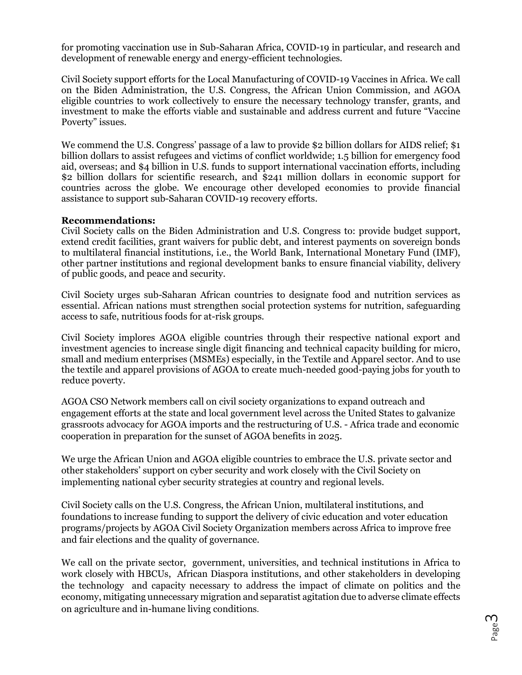for promoting vaccination use in Sub-Saharan Africa, COVID-19 in particular, and research and development of renewable energy and energy-efficient technologies.

Civil Society support efforts for the Local Manufacturing of COVID-19 Vaccines in Africa. We call on the Biden Administration, the U.S. Congress, the African Union Commission, and AGOA eligible countries to work collectively to ensure the necessary technology transfer, grants, and investment to make the efforts viable and sustainable and address current and future "Vaccine Poverty" issues.

We commend the U.S. Congress' passage of a law to provide \$2 billion dollars for AIDS relief; \$1 billion dollars to assist refugees and victims of conflict worldwide; 1.5 billion for emergency food aid, overseas; and \$4 billion in U.S. funds to support international vaccination efforts, including \$2 billion dollars for scientific research, and \$241 million dollars in economic support for countries across the globe. We encourage other developed economies to provide financial assistance to support sub-Saharan COVID-19 recovery efforts.

## **Recommendations:**

Civil Society calls on the Biden Administration and U.S. Congress to: provide budget support, extend credit facilities, grant waivers for public debt, and interest payments on sovereign bonds to multilateral financial institutions, i.e., the World Bank, International Monetary Fund (IMF), other partner institutions and regional development banks to ensure financial viability, delivery of public goods, and peace and security.

Civil Society urges sub-Saharan African countries to designate food and nutrition services as essential. African nations must strengthen social protection systems for nutrition, safeguarding access to safe, nutritious foods for at-risk groups.

Civil Society implores AGOA eligible countries through their respective national export and investment agencies to increase single digit financing and technical capacity building for micro, small and medium enterprises (MSMEs) especially, in the Textile and Apparel sector. And to use the textile and apparel provisions of AGOA to create much-needed good-paying jobs for youth to reduce poverty.

AGOA CSO Network members call on civil society organizations to expand outreach and engagement efforts at the state and local government level across the United States to galvanize grassroots advocacy for AGOA imports and the restructuring of U.S. - Africa trade and economic cooperation in preparation for the sunset of AGOA benefits in 2025.

We urge the African Union and AGOA eligible countries to embrace the U.S. private sector and other stakeholders' support on cyber security and work closely with the Civil Society on implementing national cyber security strategies at country and regional levels.

Civil Society calls on the U.S. Congress, the African Union, multilateral institutions, and foundations to increase funding to support the delivery of civic education and voter education programs/projects by AGOA Civil Society Organization members across Africa to improve free and fair elections and the quality of governance.

We call on the private sector, government, universities, and technical institutions in Africa to work closely with HBCUs, African Diaspora institutions, and other stakeholders in developing the technology and capacity necessary to address the impact of climate on politics and the economy, mitigating unnecessary migration and separatist agitation due to adverse climate effects on agriculture and in-humane living conditions.